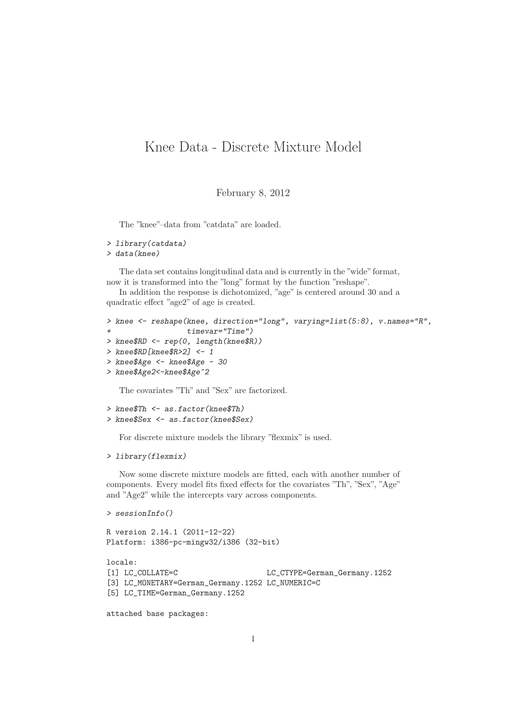## Knee Data - Discrete Mixture Model

February 8, 2012

The "knee"–data from "catdata" are loaded.

```
> library(catdata)
> data(knee)
```
The data set contains longitudinal data and is currently in the "wide"format, now it is transformed into the "long" format by the function "reshape".

In addition the response is dichotomized, "age" is centered around 30 and a quadratic effect "age2" of age is created.

```
> knee <- reshape(knee, direction="long", varying=list(5:8), v.names="R",
+ timevar="Time")
> knee$RD <- rep(0, length(knee$R))
> knee$RD[knee$R>2] <- 1
> knee$Age <- knee$Age - 30
> knee$Age2<-knee$Age^2
```
The covariates "Th" and "Sex" are factorized.

```
> knee$Th <- as.factor(knee$Th)
> knee$Sex <- as.factor(knee$Sex)
```
For discrete mixture models the library "flexmix" is used.

```
> library(flexmix)
```
Now some discrete mixture models are fitted, each with another number of components. Every model fits fixed effects for the covariates "Th", "Sex", "Age" and "Age2" while the intercepts vary across components.

```
> sessionInfo()
R version 2.14.1 (2011-12-22)
Platform: i386-pc-mingw32/i386 (32-bit)
locale:
[1] LC_COLLATE=C LC_CTYPE=German_Germany.1252
[3] LC_MONETARY=German_Germany.1252 LC_NUMERIC=C
[5] LC_TIME=German_Germany.1252
```
attached base packages: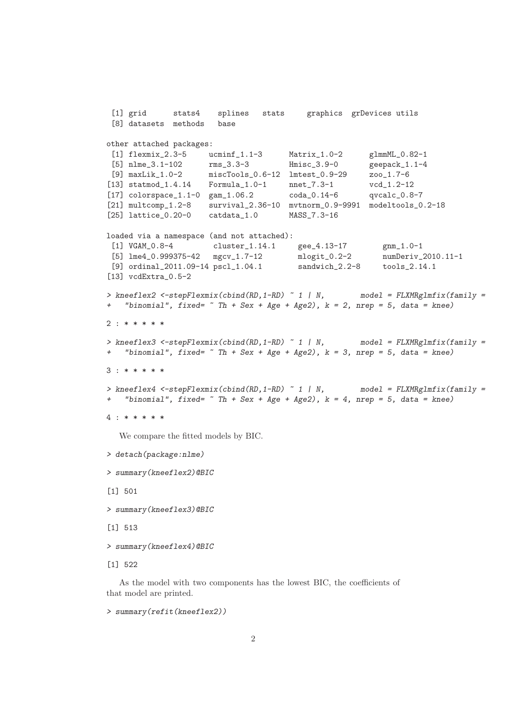```
[1] grid stats4 splines stats graphics grDevices utils
 [8] datasets methods base
other attached packages:
 [1] flexmix_2.3-5 ucminf_1.1-3 Matrix_1.0-2 glmmML_0.82-1
 [5] nlme_3.1-102 rms_3.3-3 Hmisc_3.9-0 geepack_1.1-4
 [9] maxLik_1.0-2 miscTools_0.6-12 lmtest_0.9-29 zoo_1.7-6
[13] statmod_1.4.14 Formula_1.0-1 nnet_7.3-1 vcd_1.2-12
[17] colorspace_1.1-0 gam_1.06.2 coda_0.14-6 qvcalc_0.8-7
[21] multcomp_1.2-8 survival_2.36-10 mvtnorm_0.9-9991 modeltools_0.2-18
[25] lattice_0.20-0 catdata_1.0 MASS_7.3-16
loaded via a namespace (and not attached):
[1] VGAM_0.8-4 cluster_1.14.1 gee_4.13-17 gnm_1.0-1
[5] lme4_0.999375-42 mgcv_1.7-12 mlogit_0.2-2 numDeriv_2010.11-1
[9] ordinal_2011.09-14 pscl_1.04.1 sandwich_2.2-8 tools_2.14.1
[13] vcdExtra_0.5-2
> kneeflex2 <-stepFlexmix(cbind(RD,1-RD) ~ 1 | N, model = FLXMRglmfix(family =
+ "binomial", fixed= ~ Th + Sex + Age + Age2), k = 2, nrep = 5, data = knee)
2 : * * * * *
> kneeflex3 <-stepFlexmix(cbind(RD,1-RD) ~ 1 | N, model = FLXMRglmfix(family =
+ "binomial", fixed= ~ Th + Sex + Age + Age2), k = 3, nrep = 5, data = knee)
3 : * * * * *
> kneeflex4 <-stepFlexmix(cbind(RD,1-RD) ~ 1 | N, model = FLXMRglmfix(family =
+ "binomial", fixed= ~ Th + Sex + Age + Age2), k = 4, nrep = 5, data = knee)
4 : * * * * *
  We compare the fitted models by BIC.
> detach(package:nlme)
> summary(kneeflex2)@BIC
[1] 501
> summary(kneeflex3)@BIC
```
[1] 513

```
> summary(kneeflex4)@BIC
```
[1] 522

As the model with two components has the lowest BIC, the coefficients of that model are printed.

```
> summary(refit(kneeflex2))
```